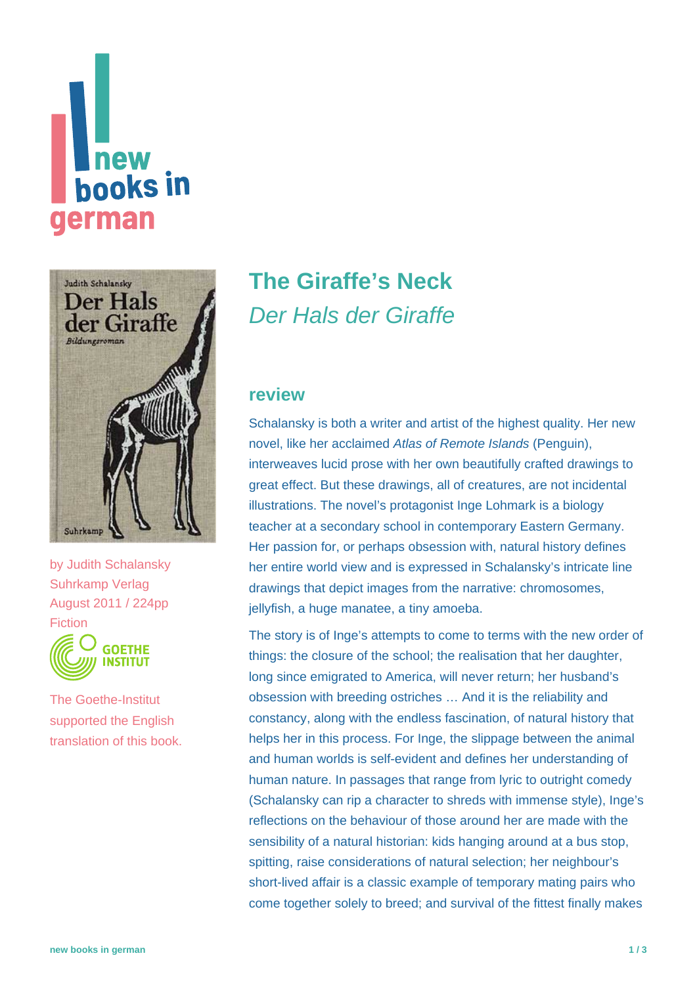# new **hooks in** german



by [Judith Schalansky](https://www.new-books-in-german.com/recommendations/?searchInput=Judith%20Schalansky) Suhrkamp Verlag August 2011 / 224pp Fiction



The Goethe-Institut supported the English translation of this book.

## **[The Giraffe's Neck](https://www.new-books-in-german.com/recommendations/the-giraffes-neck/)** Der Hals der Giraffe

#### **review**

Schalansky is both a writer and artist of the highest quality. Her new novel, like her acclaimed Atlas of Remote Islands (Penguin), interweaves lucid prose with her own beautifully crafted drawings to great effect. But these drawings, all of creatures, are not incidental illustrations. The novel's protagonist Inge Lohmark is a biology teacher at a secondary school in contemporary Eastern Germany. Her passion for, or perhaps obsession with, natural history defines her entire world view and is expressed in Schalansky's intricate line drawings that depict images from the narrative: chromosomes, jellyfish, a huge manatee, a tiny amoeba.

The story is of Inge's attempts to come to terms with the new order of things: the closure of the school; the realisation that her daughter, long since emigrated to America, will never return; her husband's obsession with breeding ostriches … And it is the reliability and constancy, along with the endless fascination, of natural history that helps her in this process. For Inge, the slippage between the animal and human worlds is self-evident and defines her understanding of human nature. In passages that range from lyric to outright comedy (Schalansky can rip a character to shreds with immense style), Inge's reflections on the behaviour of those around her are made with the sensibility of a natural historian: kids hanging around at a bus stop, spitting, raise considerations of natural selection; her neighbour's short-lived affair is a classic example of temporary mating pairs who come together solely to breed; and survival of the fittest finally makes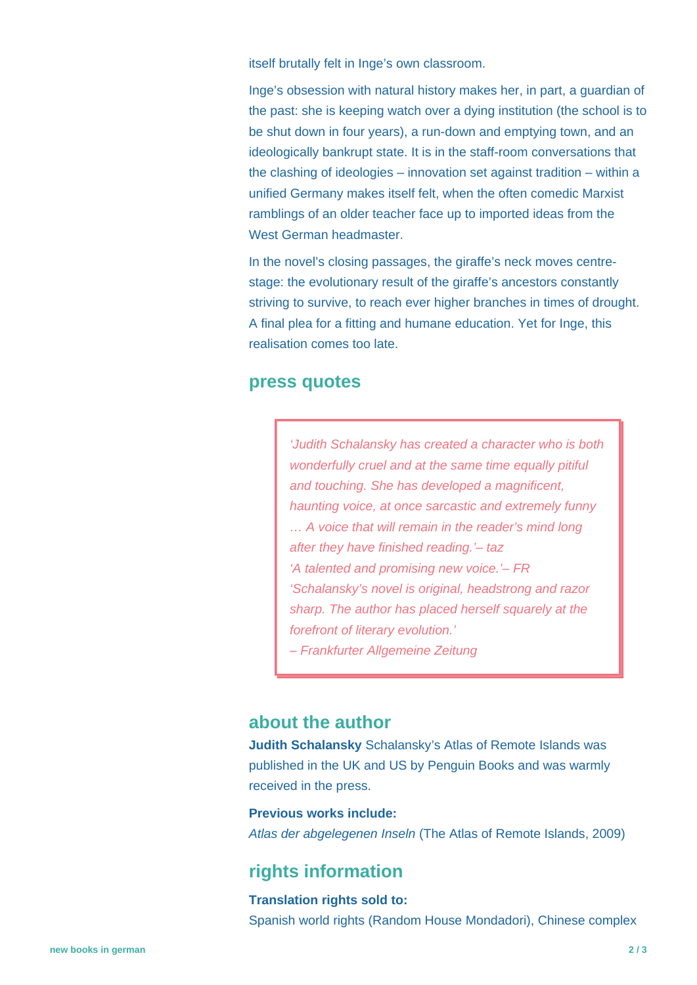itself brutally felt in Inge's own classroom.

Inge's obsession with natural history makes her, in part, a guardian of the past: she is keeping watch over a dying institution (the school is to be shut down in four years), a run-down and emptying town, and an ideologically bankrupt state. It is in the staff-room conversations that the clashing of ideologies – innovation set against tradition – within a unified Germany makes itself felt, when the often comedic Marxist ramblings of an older teacher face up to imported ideas from the West German headmaster.

In the novel's closing passages, the giraffe's neck moves centrestage: the evolutionary result of the giraffe's ancestors constantly striving to survive, to reach ever higher branches in times of drought. A final plea for a fitting and humane education. Yet for Inge, this realisation comes too late.

#### **press quotes**

'Judith Schalansky has created a character who is both wonderfully cruel and at the same time equally pitiful and touching. She has developed a magnificent, haunting voice, at once sarcastic and extremely funny … A voice that will remain in the reader's mind long after they have finished reading.'– taz 'A talented and promising new voice.'– FR 'Schalansky's novel is original, headstrong and razor sharp. The author has placed herself squarely at the forefront of literary evolution.'

– Frankfurter Allgemeine Zeitung

#### **about the author**

**Judith Schalansky** Schalansky's Atlas of Remote Islands was published in the UK and US by Penguin Books and was warmly received in the press.

**Previous works include:** Atlas der abgelegenen Inseln (The Atlas of Remote Islands, 2009)

### **rights information**

**Translation rights sold to:** Spanish world rights (Random House Mondadori), Chinese complex